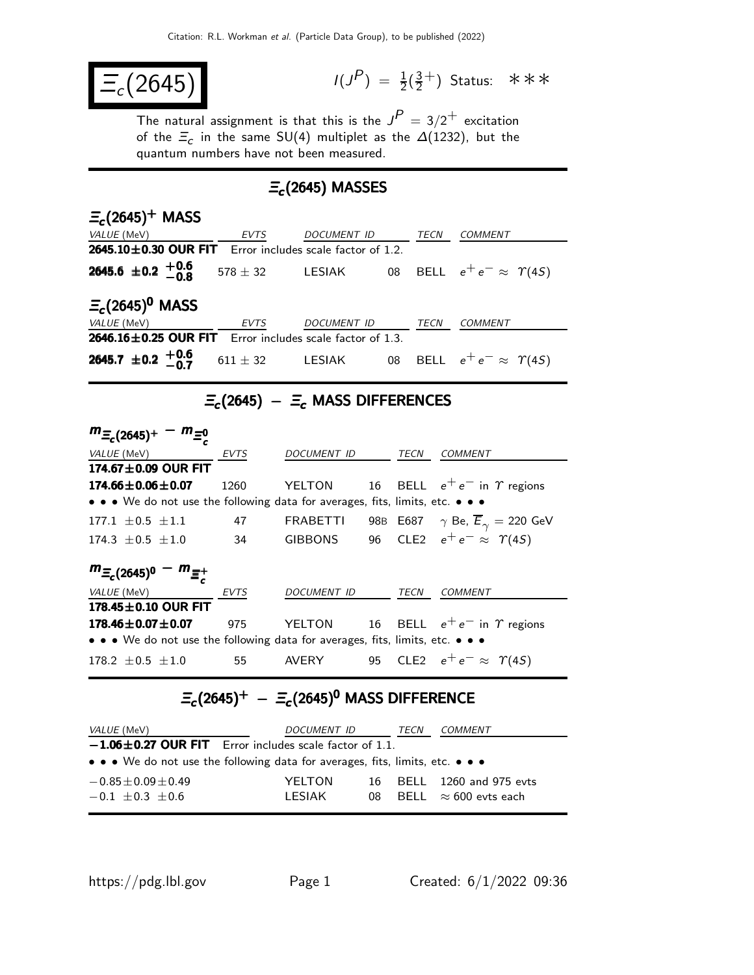$$
\boxed{\Xi_c(2645)}\qquad \qquad \text{if } \quad
$$

 $P$ ) =  $\frac{1}{2}(\frac{3}{2})$  $\frac{3}{2}^+$ ) Status: \*\*\*

The natural assignment is that this is the  $J^P = 3/2^+$  excitation of the  $\Xi_c$  in the same SU(4) multiplet as the  $\Delta(1232)$ , but the quantum numbers have not been measured.

## $\Xi_c$ (2645) MASSES

| $E_c(2645)^+$ MASS                                                |              |             |    |      |                                       |  |
|-------------------------------------------------------------------|--------------|-------------|----|------|---------------------------------------|--|
| <i>VALUE</i> (MeV)                                                | EVTS         | DOCUMENT ID |    | TECN | <b>COMMENT</b>                        |  |
| 2645.10 $\pm$ 0.30 OUR FIT<br>Error includes scale factor of 1.2. |              |             |    |      |                                       |  |
| 2645.6 $\pm$ 0.2 $+$ 0.6<br>-0.8                                  | $578 \pm 32$ | LESIAK      |    |      | 08 BELL $e^+e^- \approx \Upsilon(4S)$ |  |
| $\Xi_c(2645)^0$ MASS                                              |              |             |    |      |                                       |  |
| <i>VALUE</i> (MeV)                                                | <b>EVTS</b>  | DOCUMENT ID |    | TECN | COMMENT                               |  |
| <b>2646.16 ± 0.25 OUR FIT</b> Error includes scale factor of 1.3. |              |             |    |      |                                       |  |
| 2645.7 ± 0.2 $^{+0.6}_{-0.7}$                                     | $611 \pm 32$ | LESIAK      | 08 |      | BELL $e^+e^- \approx \Upsilon(4S)$    |  |

### $\Xi_c(2645)$  –  $\Xi_c$  MASS DIFFERENCES

| $m_{\Xi_c(2645)^+}$<br>$- m_{\Xi_c^0}$                                        |             |                    |  |      |                                                         |
|-------------------------------------------------------------------------------|-------------|--------------------|--|------|---------------------------------------------------------|
| VALUE (MeV)                                                                   | EVTS        | <b>DOCUMENT ID</b> |  | TECN | <b>COMMENT</b>                                          |
| 174.67 $\pm$ 0.09 OUR FIT                                                     |             |                    |  |      |                                                         |
| $174.66 \pm 0.06 \pm 0.07$                                                    | 1260        |                    |  |      | YELTON 16 BELL $e^+e^-$ in $\gamma$ regions             |
| • • • We do not use the following data for averages, fits, limits, etc. • • • |             |                    |  |      |                                                         |
| 177.1 $\pm$ 0.5 $\pm$ 1.1                                                     | 47          | <b>FRABETTI</b>    |  |      | 98B E687 $\gamma$ Be, $\overline{E}_{\gamma} = 220$ GeV |
| $174.3 \pm 0.5 \pm 1.0$                                                       | 34          | GIBBONS            |  |      | 96 CLE2 $e^+e^- \approx \Upsilon(45)$                   |
| $m_{\Xi_c(2645)^0} - m_{\Xi_c^+}$                                             |             |                    |  |      |                                                         |
| VALUE (MeV)                                                                   | <b>EVTS</b> | DOCUMENT ID        |  | TECN | COMMENT                                                 |
| 178.45±0.10 OUR FIT                                                           |             |                    |  |      |                                                         |
| $178.46 \pm 0.07 \pm 0.07$                                                    | 975         | YELTON             |  |      | 16 BELL $e^+e^-$ in $\gamma$ regions                    |
| • • • We do not use the following data for averages, fits, limits, etc. • • • |             |                    |  |      |                                                         |
| $178.2 + 0.5 + 1.0$                                                           | 55          | <b>AVERY</b>       |  |      | 95 CLE2 $e^+e^- \approx \Upsilon(4S)$                   |

# $\Xi_c(2645)^+$  –  $\Xi_c(2645)^0$  MASS DIFFERENCE

| <i>VALUE</i> (MeV)                                                            | <i>DOCUMENT ID</i> |     | TECN | COMMENT                      |  |
|-------------------------------------------------------------------------------|--------------------|-----|------|------------------------------|--|
| $-1.06 \pm 0.27$ OUR FIT Error includes scale factor of 1.1.                  |                    |     |      |                              |  |
| • • • We do not use the following data for averages, fits, limits, etc. • • • |                    |     |      |                              |  |
| $-0.85 \pm 0.09 \pm 0.49$                                                     | YELTON             |     |      | 16 BELL 1260 and 975 evts    |  |
| $-0.1 + 0.3 + 0.6$                                                            | I FSIAK            | 08. |      | BELL $\approx 600$ evts each |  |